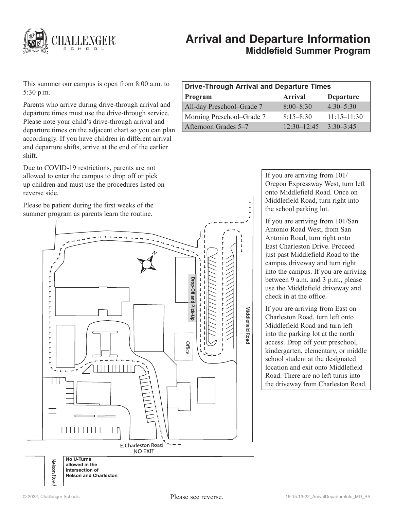

# **Arrival and Departure Information Middlefield Summer Program**

This summer our campus is open from 8:00 a.m. to 5:30 p.m.

Parents who arrive during drive-through arrival and departure times must use the drive-through service. Please note your child's drive-through arrival and departure times on the adjacent chart so you can plan accordingly. If you have children in different arrival and departure shifts, arrive at the end of the earlier shift.

Due to COVID-19 restrictions, parents are not allowed to enter the campus to drop off or pick up children and must use the procedures listed on reverse side.

Please be patient during the first weeks of the summer program as parents learn the routine.

| <b>Drive-Through Arrival and Departure Times</b> |                 |                  |
|--------------------------------------------------|-----------------|------------------|
| Program                                          | <b>Arrival</b>  | <b>Departure</b> |
| All-day Preschool-Grade 7                        | $8:00 - 8:30$   | $4:30 - 5:30$    |
| Morning Preschool–Grade 7                        | $8:15 - 8:30$   | $11:15 - 11:30$  |
| Afternoon Grades 5–7                             | $12.30 - 12.45$ | $3:30-3:45$      |

Ť  $\pmb{\downarrow}$  $\mathbf{I}$ 

If you are arriving from 101/ Oregon Expressway West, turn left onto Middlefield Road. Once on Middlefield Road, turn right into the school parking lot.

If you are arriving from 101/San Antonio Road West, from San Antonio Road, turn right onto East Charleston Drive. Proceed just past Middlefield Road to the campus driveway and turn right into the campus. If you are arriving between 9 a.m. and 3 p.m., please use the Middlefield driveway and check in at the office.

If you are arriving from East on Charleston Road, turn left onto Middlefield Road and turn left into the parking lot at the north access. Drop off your preschool, kindergarten, elementary, or middle school student at the designated location and exit onto Middlefield Road. There are no left turns into the driveway from Charleston Road.